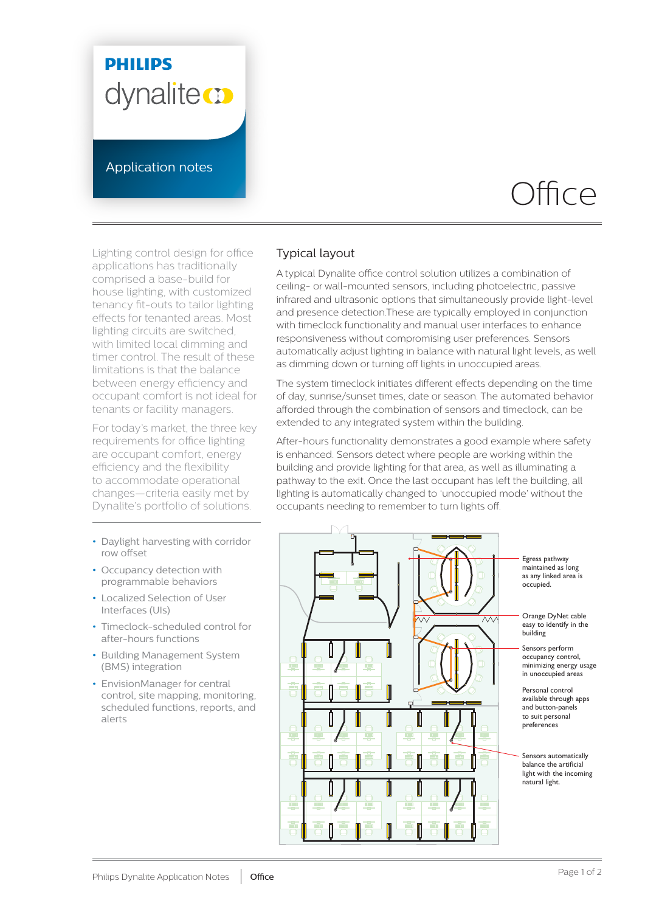## **PHILIPS** dynalite **or**

Application notes

# Office

Lighting control design for office applications has traditionally comprised a base-build for house lighting, with customized tenancy fit-outs to tailor lighting effects for tenanted areas. Most lighting circuits are switched, with limited local dimming and timer control. The result of these limitations is that the balance between energy efficiency and occupant comfort is not ideal for tenants or facility managers.

For today's market, the three key requirements for office lighting are occupant comfort, energy efficiency and the flexibility to accommodate operational changes—criteria easily met by Dynalite's portfolio of solutions.

- **•** Daylight harvesting with corridor row offset
- **•** Occupancy detection with programmable behaviors
- **•** Localized Selection of User Interfaces (UIs)
- **•** Timeclock-scheduled control for after-hours functions
- **•** Building Management System (BMS) integration
- **•** EnvisionManager for central control, site mapping, monitoring, scheduled functions, reports, and alerts

#### Typical layout

A typical Dynalite office control solution utilizes a combination of ceiling- or wall-mounted sensors, including photoelectric, passive infrared and ultrasonic options that simultaneously provide light-level and presence detection.These are typically employed in conjunction with timeclock functionality and manual user interfaces to enhance responsiveness without compromising user preferences. Sensors automatically adjust lighting in balance with natural light levels, as well as dimming down or turning off lights in unoccupied areas.

The system timeclock initiates different effects depending on the time of day, sunrise/sunset times, date or season. The automated behavior afforded through the combination of sensors and timeclock, can be extended to any integrated system within the building.

After-hours functionality demonstrates a good example where safety is enhanced. Sensors detect where people are working within the building and provide lighting for that area, as well as illuminating a pathway to the exit. Once the last occupant has left the building, all lighting is automatically changed to 'unoccupied mode' without the occupants needing to remember to turn lights off.